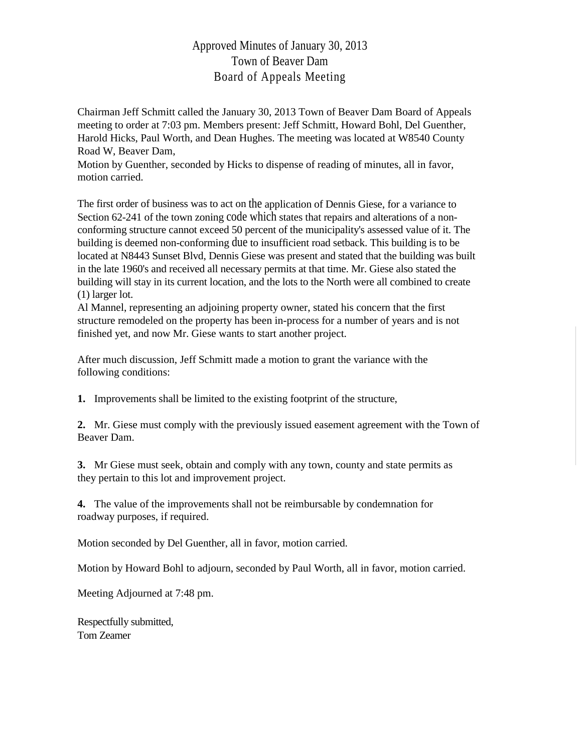# Approved Minutes of January 30, 2013 Town of Beaver Dam Board of Appeals Meeting

Chairman Jeff Schmitt called the January 30, 2013 Town of Beaver Dam Board of Appeals meeting to order at 7:03 pm. Members present: Jeff Schmitt, Howard Bohl, Del Guenther, Harold Hicks, Paul Worth, and Dean Hughes. The meeting was located at W8540 County Road W, Beaver Dam,

Motion by Guenther, seconded by Hicks to dispense of reading of minutes, all in favor, motion carried.

The first order of business was to act on the application of Dennis Giese, for a variance to Section 62-241 of the town zoning code which states that repairs and alterations of a nonconforming structure cannot exceed 50 percent of the municipality's assessed value of it. The building is deemed non-conforming due to insufficient road setback. This building is to be located at N8443 Sunset Blvd, Dennis Giese was present and stated that the building was built in the late 1960's and received all necessary permits at that time. Mr. Giese also stated the building will stay in its current location, and the lots to the North were all combined to create (1) larger lot.

Al Mannel, representing an adjoining property owner, stated his concern that the first structure remodeled on the property has been in-process for a number of years and is not finished yet, and now Mr. Giese wants to start another project.

After much discussion, Jeff Schmitt made a motion to grant the variance with the following conditions:

**1.** Improvements shall be limited to the existing footprint of the structure,

**2.** Mr. Giese must comply with the previously issued easement agreement with the Town of Beaver Dam.

**3.** Mr Giese must seek, obtain and comply with any town, county and state permits as they pertain to this lot and improvement project.

**4.** The value of the improvements shall not be reimbursable by condemnation for roadway purposes, if required.

Motion seconded by Del Guenther, all in favor, motion carried.

Motion by Howard Bohl to adjourn, seconded by Paul Worth, all in favor, motion carried.

Meeting Adjourned at 7:48 pm.

Respectfully submitted, Tom Zeamer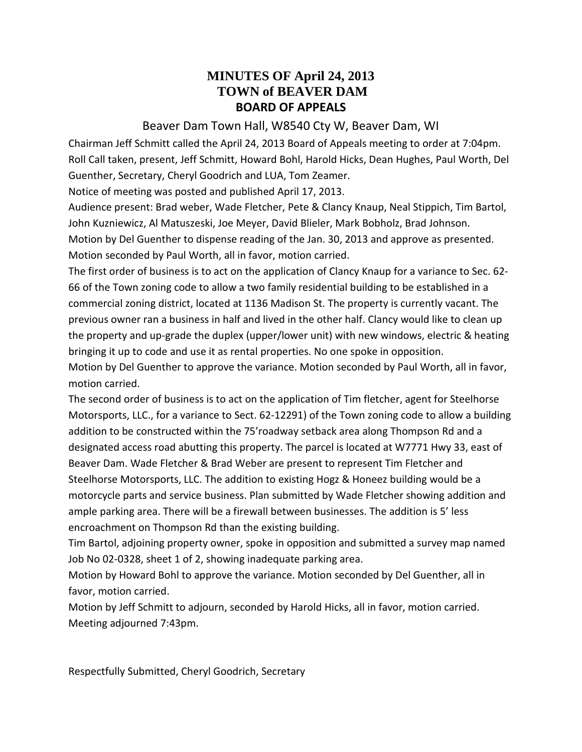## **MINUTES OF April 24, 2013 TOWN of BEAVER DAM BOARD OF APPEALS**

#### Beaver Dam Town Hall, W8540 Cty W, Beaver Dam, WI

Chairman Jeff Schmitt called the April 24, 2013 Board of Appeals meeting to order at 7:04pm. Roll Call taken, present, Jeff Schmitt, Howard Bohl, Harold Hicks, Dean Hughes, Paul Worth, Del Guenther, Secretary, Cheryl Goodrich and LUA, Tom Zeamer.

Notice of meeting was posted and published April 17, 2013.

Audience present: Brad weber, Wade Fletcher, Pete & Clancy Knaup, Neal Stippich, Tim Bartol, John Kuzniewicz, Al Matuszeski, Joe Meyer, David Blieler, Mark Bobholz, Brad Johnson. Motion by Del Guenther to dispense reading of the Jan. 30, 2013 and approve as presented. Motion seconded by Paul Worth, all in favor, motion carried.

The first order of business is to act on the application of Clancy Knaup for a variance to Sec. 62- 66 of the Town zoning code to allow a two family residential building to be established in a commercial zoning district, located at 1136 Madison St. The property is currently vacant. The previous owner ran a business in half and lived in the other half. Clancy would like to clean up the property and up-grade the duplex (upper/lower unit) with new windows, electric & heating bringing it up to code and use it as rental properties. No one spoke in opposition. Motion by Del Guenther to approve the variance. Motion seconded by Paul Worth, all in favor, motion carried.

The second order of business is to act on the application of Tim fletcher, agent for Steelhorse Motorsports, LLC., for a variance to Sect. 62-12291) of the Town zoning code to allow a building addition to be constructed within the 75'roadway setback area along Thompson Rd and a designated access road abutting this property. The parcel is located at W7771 Hwy 33, east of Beaver Dam. Wade Fletcher & Brad Weber are present to represent Tim Fletcher and Steelhorse Motorsports, LLC. The addition to existing Hogz & Honeez building would be a motorcycle parts and service business. Plan submitted by Wade Fletcher showing addition and ample parking area. There will be a firewall between businesses. The addition is 5' less encroachment on Thompson Rd than the existing building.

Tim Bartol, adjoining property owner, spoke in opposition and submitted a survey map named Job No 02-0328, sheet 1 of 2, showing inadequate parking area.

Motion by Howard Bohl to approve the variance. Motion seconded by Del Guenther, all in favor, motion carried.

Motion by Jeff Schmitt to adjourn, seconded by Harold Hicks, all in favor, motion carried. Meeting adjourned 7:43pm.

Respectfully Submitted, Cheryl Goodrich, Secretary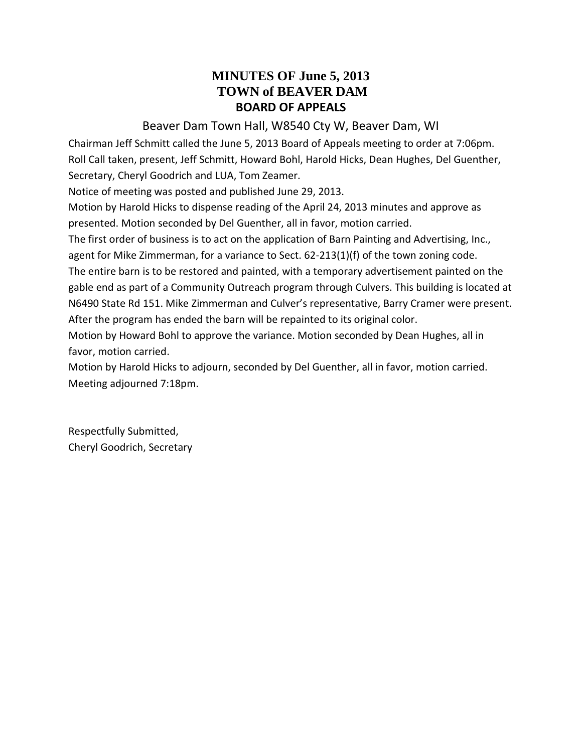# **MINUTES OF June 5, 2013 TOWN of BEAVER DAM BOARD OF APPEALS**

#### Beaver Dam Town Hall, W8540 Cty W, Beaver Dam, WI

Chairman Jeff Schmitt called the June 5, 2013 Board of Appeals meeting to order at 7:06pm. Roll Call taken, present, Jeff Schmitt, Howard Bohl, Harold Hicks, Dean Hughes, Del Guenther, Secretary, Cheryl Goodrich and LUA, Tom Zeamer.

Notice of meeting was posted and published June 29, 2013.

Motion by Harold Hicks to dispense reading of the April 24, 2013 minutes and approve as presented. Motion seconded by Del Guenther, all in favor, motion carried.

The first order of business is to act on the application of Barn Painting and Advertising, Inc.,

agent for Mike Zimmerman, for a variance to Sect. 62-213(1)(f) of the town zoning code. The entire barn is to be restored and painted, with a temporary advertisement painted on the gable end as part of a Community Outreach program through Culvers. This building is located at N6490 State Rd 151. Mike Zimmerman and Culver's representative, Barry Cramer were present. After the program has ended the barn will be repainted to its original color.

Motion by Howard Bohl to approve the variance. Motion seconded by Dean Hughes, all in favor, motion carried.

Motion by Harold Hicks to adjourn, seconded by Del Guenther, all in favor, motion carried. Meeting adjourned 7:18pm.

Respectfully Submitted, Cheryl Goodrich, Secretary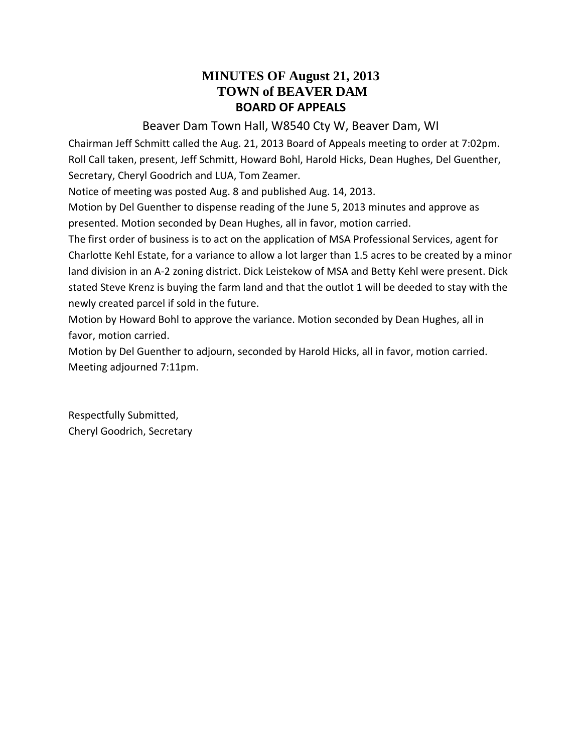## **MINUTES OF August 21, 2013 TOWN of BEAVER DAM BOARD OF APPEALS**

### Beaver Dam Town Hall, W8540 Cty W, Beaver Dam, WI

Chairman Jeff Schmitt called the Aug. 21, 2013 Board of Appeals meeting to order at 7:02pm. Roll Call taken, present, Jeff Schmitt, Howard Bohl, Harold Hicks, Dean Hughes, Del Guenther, Secretary, Cheryl Goodrich and LUA, Tom Zeamer.

Notice of meeting was posted Aug. 8 and published Aug. 14, 2013.

Motion by Del Guenther to dispense reading of the June 5, 2013 minutes and approve as presented. Motion seconded by Dean Hughes, all in favor, motion carried.

The first order of business is to act on the application of MSA Professional Services, agent for Charlotte Kehl Estate, for a variance to allow a lot larger than 1.5 acres to be created by a minor land division in an A-2 zoning district. Dick Leistekow of MSA and Betty Kehl were present. Dick stated Steve Krenz is buying the farm land and that the outlot 1 will be deeded to stay with the newly created parcel if sold in the future.

Motion by Howard Bohl to approve the variance. Motion seconded by Dean Hughes, all in favor, motion carried.

Motion by Del Guenther to adjourn, seconded by Harold Hicks, all in favor, motion carried. Meeting adjourned 7:11pm.

Respectfully Submitted, Cheryl Goodrich, Secretary